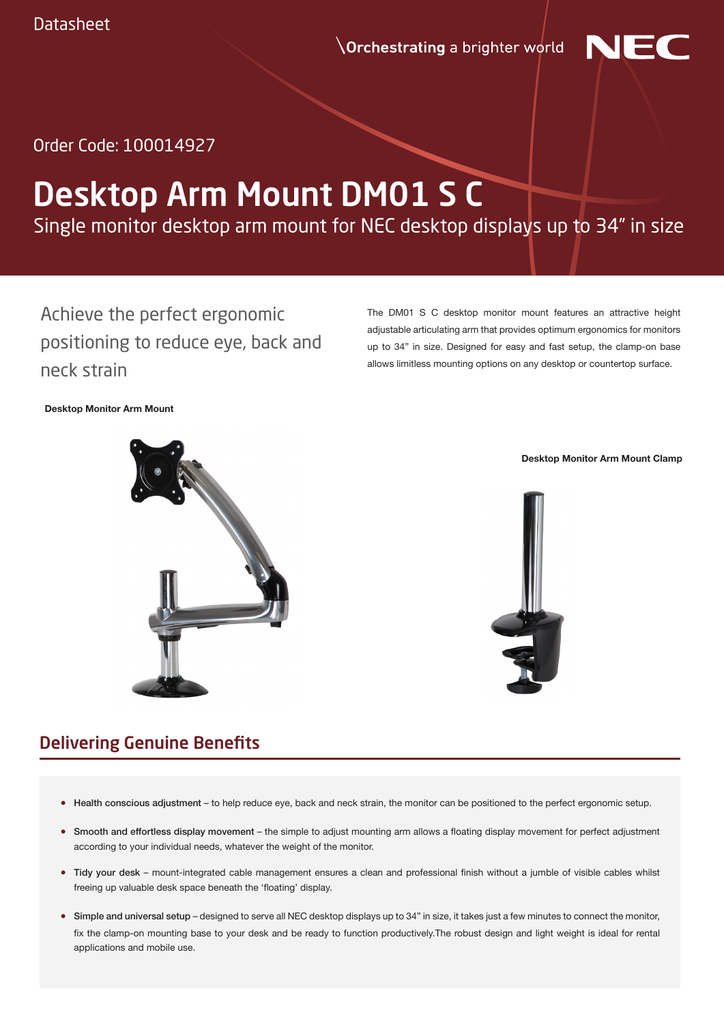**Orchestrating** a brighter world



Order Code: 100014927

# Desktop Arm Mount DM01 S C

Single monitor desktop arm mount for NEC desktop displays up to 34" in size

Achieve the perfect ergonomic positioning to reduce eye, back and neck strain

The DM01 S C desktop monitor mount features an attractive height adjustable articulating arm that provides optimum ergonomics for monitors up to 34" in size. Designed for easy and fast setup, the clamp-on base allows limitless mounting options on any desktop or countertop surface.

#### **Desktop Monitor Arm Mount**



**Desktop Monitor Arm Mount Clamp**



### Delivering Genuine Benefits

- Health conscious adjustment to help reduce eye, back and neck strain, the monitor can be positioned to the perfect ergonomic setup.
- Smooth and effortless display movement the simple to adjust mounting arm allows a floating display movement for perfect adjustment according to your individual needs, whatever the weight of the monitor.
- Tidy your desk mount-integrated cable management ensures a clean and professional finish without a jumble of visible cables whilst freeing up valuable desk space beneath the 'floating' display.
- Simple and universal setup designed to serve all NEC desktop displays up to 34" in size, it takes just a few minutes to connect the monitor, fix the clamp-on mounting base to your desk and be ready to function productively.The robust design and light weight is ideal for rental applications and mobile use.